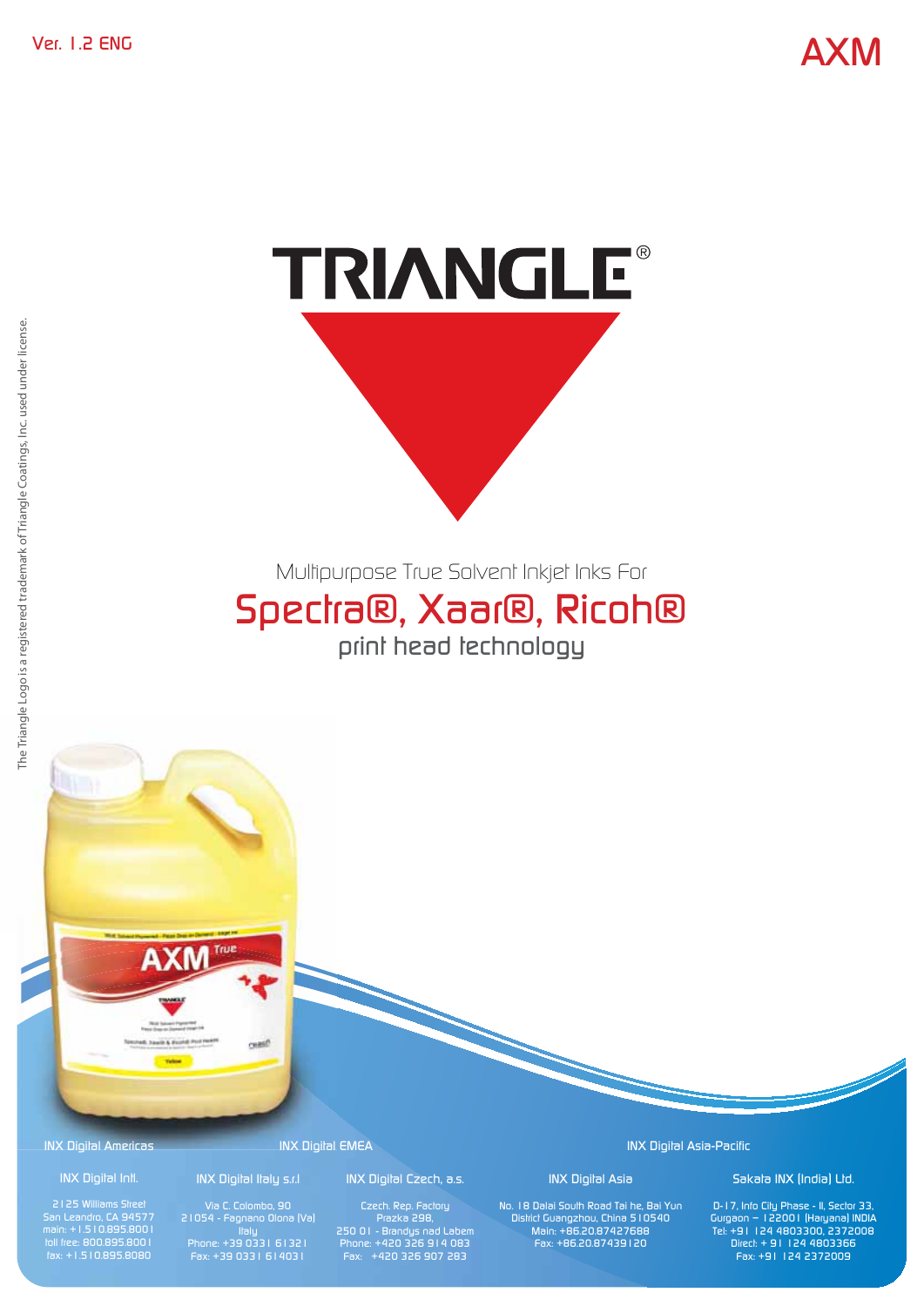# TRIANGLE®

Multipurpose True Solvent Inkjet Inks For

# Spectra®, Xaar®, Ricoh® print head technology

**AXM** realt

INX Digital Americas

### INX Digital Intl. 2125 Williams Street

San Leandro, CA 94577 main: +1.510.895.8001 toll free: 800.895.8001 fax: +1.510.895.8080

INX Digital Italy s.r.l

# INX Digital EMEA

21054 - Fagnano Olona (Va) Italy Phone: +39 0331 61321 Fax: +39 0331 614031

INX Digital Czech, a.s.

Prazka 298, 250 01 - Brandys nad Labem Phone: +420 326 914 083 Fax: +420 326 907 283

INX Digital Asia-Pacific

INX Digital Asia No. 18 Dalai South Road Tai he, Bai Yun District Guangzhou, China 510540 Main: +86.20.87427688 Fax: +86.20.87439120

### Sakata INX (India) Ltd.

D-17, Info City Phase - II, Sector 33, Gurgaon – 122001 (Haryana) INDIA Tel: +91 124 4803300, 2372008 Direct: + 91 124 4803366 Fax: +91 124 2372009